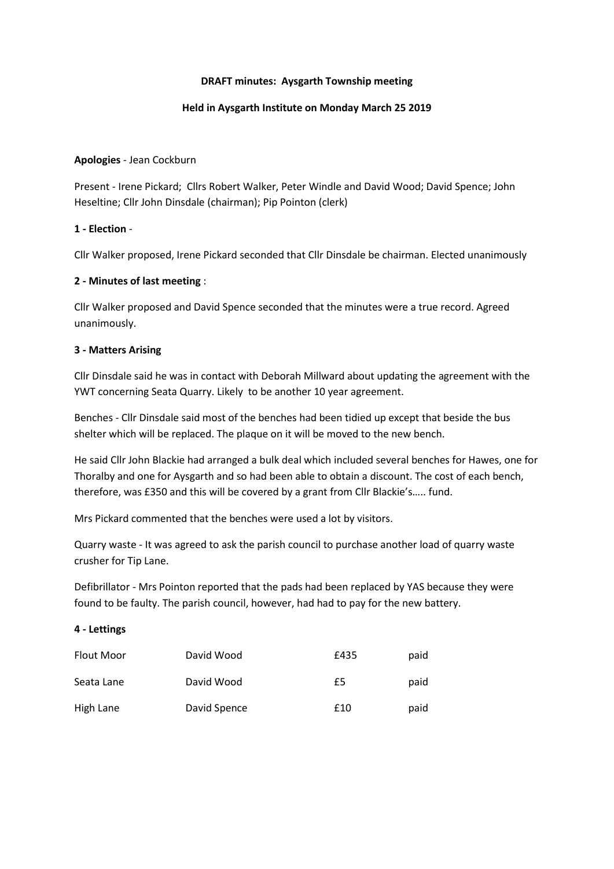#### **DRAFT minutes: Aysgarth Township meeting**

#### **Held in Aysgarth Institute on Monday March 25 2019**

#### **Apologies** - Jean Cockburn

Present - Irene Pickard; Cllrs Robert Walker, Peter Windle and David Wood; David Spence; John Heseltine; Cllr John Dinsdale (chairman); Pip Pointon (clerk)

# **1 - Election** -

Cllr Walker proposed, Irene Pickard seconded that Cllr Dinsdale be chairman. Elected unanimously

# **2 - Minutes of last meeting** :

Cllr Walker proposed and David Spence seconded that the minutes were a true record. Agreed unanimously.

# **3 - Matters Arising**

Cllr Dinsdale said he was in contact with Deborah Millward about updating the agreement with the YWT concerning Seata Quarry. Likely to be another 10 year agreement.

Benches - Cllr Dinsdale said most of the benches had been tidied up except that beside the bus shelter which will be replaced. The plaque on it will be moved to the new bench.

He said Cllr John Blackie had arranged a bulk deal which included several benches for Hawes, one for Thoralby and one for Aysgarth and so had been able to obtain a discount. The cost of each bench, therefore, was £350 and this will be covered by a grant from Cllr Blackie's….. fund.

Mrs Pickard commented that the benches were used a lot by visitors.

Quarry waste - It was agreed to ask the parish council to purchase another load of quarry waste crusher for Tip Lane.

Defibrillator - Mrs Pointon reported that the pads had been replaced by YAS because they were found to be faulty. The parish council, however, had had to pay for the new battery.

#### **4 - Lettings**

| Flout Moor | David Wood   | £435 | paid |
|------------|--------------|------|------|
| Seata Lane | David Wood   | £5   | paid |
| High Lane  | David Spence | £10  | paid |